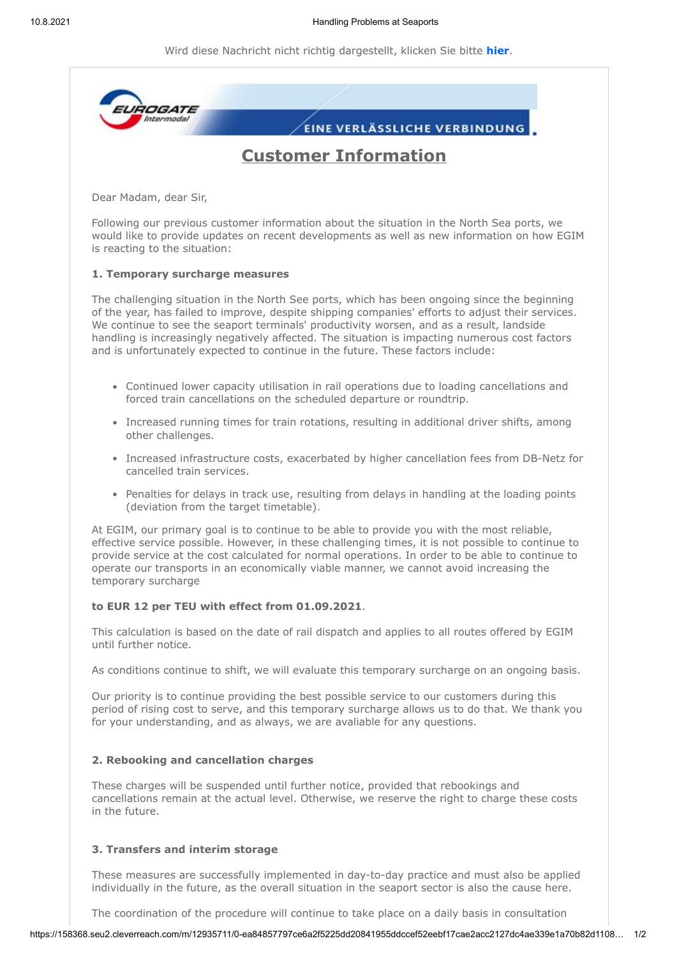Wird diese Nachricht nicht richtig dargestellt, klicken Sie bitte **[hier](https://158368.seu2.cleverreach.com/m/12935711/0-540afa5ec2e30a0204fb3b8420fc9c514c929f918b0a1af64bd90b59a0aa7f61ef88f8319e24c8aba02caec1c95598d3)**.



The coordination of the procedure will continue to take place on a daily basis in consultation